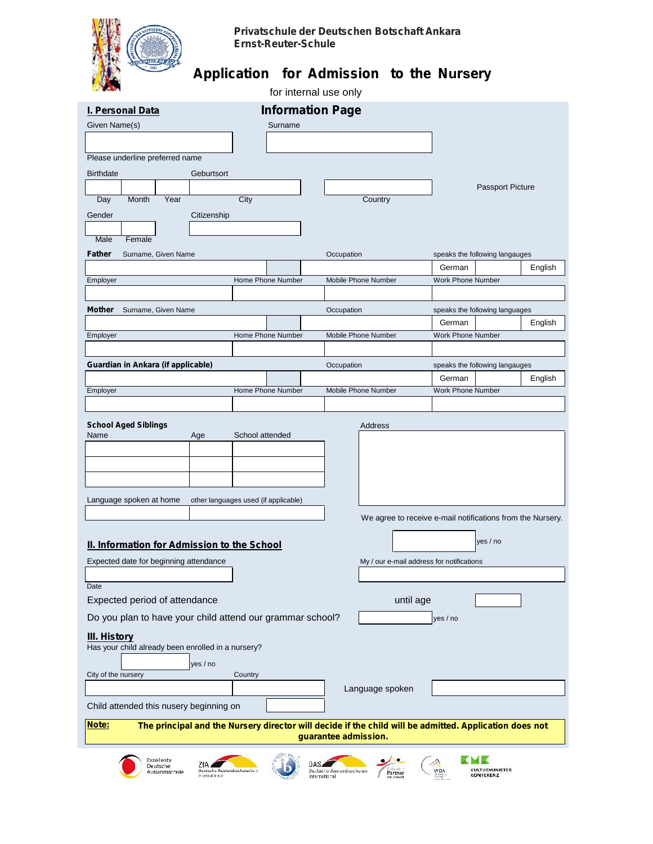

## **Privatschule der Deutschen Botschaft Ankara Ernst-Reuter-Schule**

## **Application for Admission to the Nursery**

|                                                                                                                                                                                                                        |                                      | for internal use only      |                                                                                                        |
|------------------------------------------------------------------------------------------------------------------------------------------------------------------------------------------------------------------------|--------------------------------------|----------------------------|--------------------------------------------------------------------------------------------------------|
| <b>I. Personal Data</b>                                                                                                                                                                                                |                                      | <b>Information Page</b>    |                                                                                                        |
| Given Name(s)                                                                                                                                                                                                          | Surname                              |                            |                                                                                                        |
|                                                                                                                                                                                                                        |                                      |                            |                                                                                                        |
| Please underline preferred name                                                                                                                                                                                        |                                      |                            |                                                                                                        |
| <b>Birthdate</b>                                                                                                                                                                                                       | Geburtsort                           |                            |                                                                                                        |
|                                                                                                                                                                                                                        |                                      |                            | Passport Picture                                                                                       |
| Month<br>Year<br>Day                                                                                                                                                                                                   | City                                 | Country                    |                                                                                                        |
| Gender                                                                                                                                                                                                                 | Citizenship                          |                            |                                                                                                        |
| Male<br>Female                                                                                                                                                                                                         |                                      |                            |                                                                                                        |
| Father<br>Surname, Given Name                                                                                                                                                                                          |                                      | Occupation                 | speaks the following langauges                                                                         |
|                                                                                                                                                                                                                        |                                      |                            | German<br>English                                                                                      |
| Employer                                                                                                                                                                                                               | Home Phone Number                    | Mobile Phone Number        | <b>Work Phone Number</b>                                                                               |
|                                                                                                                                                                                                                        |                                      |                            |                                                                                                        |
| Mother<br>Surname, Given Name                                                                                                                                                                                          |                                      | Occupation                 | speaks the following languages                                                                         |
| Employer                                                                                                                                                                                                               | Home Phone Number                    | <b>Mobile Phone Number</b> | German<br>English<br><b>Work Phone Number</b>                                                          |
|                                                                                                                                                                                                                        |                                      |                            |                                                                                                        |
| Guardian in Ankara (if applicable)                                                                                                                                                                                     |                                      | Occupation                 | speaks the following langauges                                                                         |
|                                                                                                                                                                                                                        |                                      |                            | English<br>German                                                                                      |
| Employer                                                                                                                                                                                                               | Home Phone Number                    | Mobile Phone Number        | <b>Work Phone Number</b>                                                                               |
|                                                                                                                                                                                                                        |                                      |                            |                                                                                                        |
| <b>School Aged Siblings</b>                                                                                                                                                                                            |                                      | Address                    |                                                                                                        |
| Name<br>Age                                                                                                                                                                                                            | School attended                      |                            |                                                                                                        |
|                                                                                                                                                                                                                        |                                      |                            |                                                                                                        |
|                                                                                                                                                                                                                        |                                      |                            |                                                                                                        |
|                                                                                                                                                                                                                        |                                      |                            |                                                                                                        |
|                                                                                                                                                                                                                        |                                      |                            |                                                                                                        |
|                                                                                                                                                                                                                        | other languages used (if applicable) |                            |                                                                                                        |
|                                                                                                                                                                                                                        |                                      |                            |                                                                                                        |
|                                                                                                                                                                                                                        |                                      |                            | We agree to receive e-mail notifications from the Nursery.                                             |
|                                                                                                                                                                                                                        |                                      |                            | yes / no                                                                                               |
|                                                                                                                                                                                                                        |                                      |                            | My / our e-mail address for notifications                                                              |
|                                                                                                                                                                                                                        |                                      |                            |                                                                                                        |
|                                                                                                                                                                                                                        |                                      |                            |                                                                                                        |
|                                                                                                                                                                                                                        |                                      | until age                  |                                                                                                        |
| Language spoken at home<br>II. Information for Admission to the School<br>Expected date for beginning attendance<br>Date<br>Expected period of attendance<br>Do you plan to have your child attend our grammar school? |                                      |                            | yes / no                                                                                               |
|                                                                                                                                                                                                                        |                                      |                            |                                                                                                        |
|                                                                                                                                                                                                                        |                                      |                            |                                                                                                        |
| yes / no                                                                                                                                                                                                               |                                      |                            |                                                                                                        |
|                                                                                                                                                                                                                        | Country                              |                            |                                                                                                        |
|                                                                                                                                                                                                                        |                                      | Language spoken            |                                                                                                        |
| <b>III. History</b><br>Has your child already been enrolled in a nursery?<br>City of the nursery<br>Child attended this nusery beginning on                                                                            |                                      |                            |                                                                                                        |
| Note:                                                                                                                                                                                                                  |                                      | guarantee admission.       | The principal and the Nursery director will decide if the child will be admitted. Application does not |